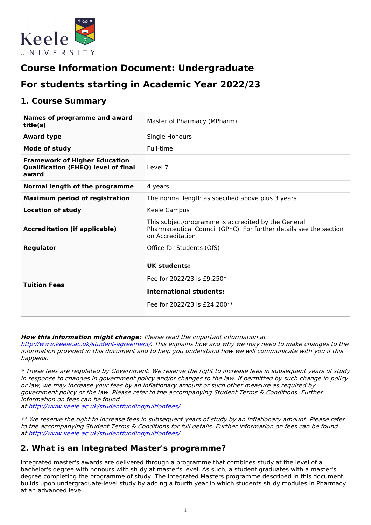

# **Course Information Document: Undergraduate**

# **For students starting in Academic Year 2022/23**

# **1. Course Summary**

| <b>Names of programme and award</b><br>title(s)                                             | Master of Pharmacy (MPharm)                                                                                                                   |  |  |
|---------------------------------------------------------------------------------------------|-----------------------------------------------------------------------------------------------------------------------------------------------|--|--|
| <b>Award type</b>                                                                           | Single Honours                                                                                                                                |  |  |
| <b>Mode of study</b>                                                                        | Full-time                                                                                                                                     |  |  |
| <b>Framework of Higher Education</b><br><b>Qualification (FHEQ) level of final</b><br>award | Level 7                                                                                                                                       |  |  |
| Normal length of the programme                                                              | 4 years                                                                                                                                       |  |  |
| <b>Maximum period of registration</b>                                                       | The normal length as specified above plus 3 years                                                                                             |  |  |
| <b>Location of study</b>                                                                    | Keele Campus                                                                                                                                  |  |  |
| <b>Accreditation (if applicable)</b>                                                        | This subject/programme is accredited by the General<br>Pharmaceutical Council (GPhC). For further details see the section<br>on Accreditation |  |  |
| <b>Regulator</b>                                                                            | Office for Students (OfS)                                                                                                                     |  |  |
| <b>Tuition Fees</b>                                                                         | UK students:<br>Fee for 2022/23 is £9,250*<br><b>International students:</b><br>Fee for 2022/23 is £24,200**                                  |  |  |

### **How this information might change:** Please read the important information at

<http://www.keele.ac.uk/student-agreement/>. This explains how and why we may need to make changes to the information provided in this document and to help you understand how we will communicate with you if this happens.

\* These fees are regulated by Government. We reserve the right to increase fees in subsequent years of study in response to changes in government policy and/or changes to the law. If permitted by such change in policy or law, we may increase your fees by an inflationary amount or such other measure as required by government policy or the law. Please refer to the accompanying Student Terms & Conditions. Further information on fees can be found at <http://www.keele.ac.uk/studentfunding/tuitionfees/>

\*\* We reserve the right to increase fees in subsequent years of study by an inflationary amount. Please refer to the accompanying Student Terms & Conditions for full details. Further information on fees can be found at <http://www.keele.ac.uk/studentfunding/tuitionfees/>

## **2. What is an Integrated Master's programme?**

Integrated master's awards are delivered through a programme that combines study at the level of a bachelor's degree with honours with study at master's level. As such, a student graduates with a master's degree completing the programme of study. The Integrated Masters programme described in this document builds upon undergraduate-level study by adding a fourth year in which students study modules in Pharmacy at an advanced level.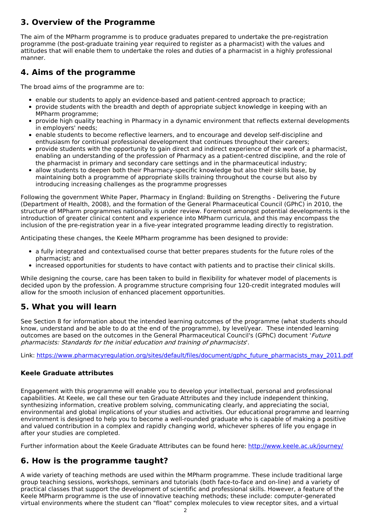# **3. Overview of the Programme**

The aim of the MPharm programme is to produce graduates prepared to undertake the pre-registration programme (the post-graduate training year required to register as a pharmacist) with the values and attitudes that will enable them to undertake the roles and duties of a pharmacist in a highly professional manner.

# **4. Aims of the programme**

The broad aims of the programme are to:

- enable our students to apply an evidence-based and patient-centred approach to practice;
- provide students with the breadth and depth of appropriate subject knowledge in keeping with an MPharm programme;
- provide high quality teaching in Pharmacy in a dynamic environment that reflects external developments in employers' needs;
- enable students to become reflective learners, and to encourage and develop self-discipline and enthusiasm for continual professional development that continues throughout their careers;
- provide students with the opportunity to gain direct and indirect experience of the work of a pharmacist, enabling an understanding of the profession of Pharmacy as a patient-centred discipline, and the role of the pharmacist in primary and secondary care settings and in the pharmaceutical industry;
- allow students to deepen both their Pharmacy-specific knowledge but also their skills base, by maintaining both a programme of appropriate skills training throughout the course but also by introducing increasing challenges as the programme progresses

Following the government White Paper, Pharmacy in England: Building on Strengths - Delivering the Future (Department of Health, 2008), and the formation of the General Pharmaceutical Council (GPhC) in 2010, the structure of MPharm programmes nationally is under review. Foremost amongst potential developments is the introduction of greater clinical content and experience into MPharm curricula, and this may encompass the inclusion of the pre-registration year in a five-year integrated programme leading directly to registration.

Anticipating these changes, the Keele MPharm programme has been designed to provide:

- a fully integrated and contextualised course that better prepares students for the future roles of the pharmacist; and
- increased opportunities for students to have contact with patients and to practise their clinical skills.

While designing the course, care has been taken to build in flexibility for whatever model of placements is decided upon by the profession. A programme structure comprising four 120-credit integrated modules will allow for the smooth inclusion of enhanced placement opportunities.

# **5. What you will learn**

See Section 8 for information about the intended learning outcomes of the programme (what students should know, understand and be able to do at the end of the programme), by level/year. These intended learning outcomes are based on the outcomes in the General Pharmaceutical Council's (GPhC) document 'Future pharmacists: Standards for the initial education and training of pharmacists'.

Link: [https://www.pharmacyregulation.org/sites/default/files/document/gphc\\_future\\_pharmacists\\_may\\_2011.pdf](https://www.pharmacyregulation.org/sites/default/files/document/gphc_future_pharmacists_may_2011.pdf)

### **Keele Graduate attributes**

Engagement with this programme will enable you to develop your intellectual, personal and professional capabilities. At Keele, we call these our ten Graduate Attributes and they include independent thinking, synthesizing information, creative problem solving, communicating clearly, and appreciating the social, environmental and global implications of your studies and activities. Our educational programme and learning environment is designed to help you to become a well-rounded graduate who is capable of making a positive and valued contribution in a complex and rapidly changing world, whichever spheres of life you engage in after your studies are completed.

Further information about the Keele Graduate Attributes can be found here: <http://www.keele.ac.uk/journey/>

## **6. How is the programme taught?**

A wide variety of teaching methods are used within the MPharm programme. These include traditional large group teaching sessions, workshops, seminars and tutorials (both face-to-face and on-line) and a variety of practical classes that support the development of scientific and professional skills. However, a feature of the Keele MPharm programme is the use of innovative teaching methods; these include: computer-generated virtual environments where the student can "float" complex molecules to view receptor sites, and a virtual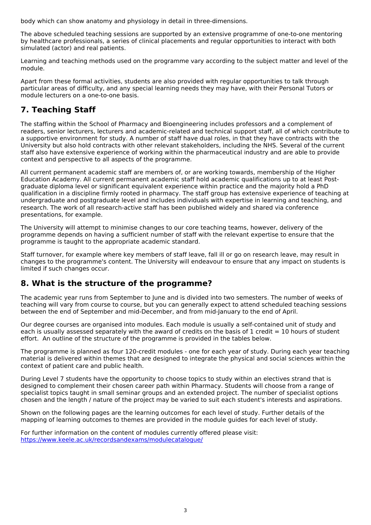body which can show anatomy and physiology in detail in three-dimensions.

The above scheduled teaching sessions are supported by an extensive programme of one-to-one mentoring by healthcare professionals, a series of clinical placements and regular opportunities to interact with both simulated (actor) and real patients.

Learning and teaching methods used on the programme vary according to the subject matter and level of the module.

Apart from these formal activities, students are also provided with regular opportunities to talk through particular areas of difficulty, and any special learning needs they may have, with their Personal Tutors or module lecturers on a one-to-one basis.

# **7. Teaching Staff**

The staffing within the School of Pharmacy and Bioengineering includes professors and a complement of readers, senior lecturers, lecturers and academic-related and technical support staff, all of which contribute to a supportive environment for study. A number of staff have dual roles, in that they have contracts with the University but also hold contracts with other relevant stakeholders, including the NHS. Several of the current staff also have extensive experience of working within the pharmaceutical industry and are able to provide context and perspective to all aspects of the programme.

All current permanent academic staff are members of, or are working towards, membership of the Higher Education Academy. All current permanent academic staff hold academic qualifications up to at least Postgraduate diploma level or significant equivalent experience within practice and the majority hold a PhD qualification in a discipline firmly rooted in pharmacy. The staff group has extensive experience of teaching at undergraduate and postgraduate level and includes individuals with expertise in learning and teaching, and research. The work of all research-active staff has been published widely and shared via conference presentations, for example.

The University will attempt to minimise changes to our core teaching teams, however, delivery of the programme depends on having a sufficient number of staff with the relevant expertise to ensure that the programme is taught to the appropriate academic standard.

Staff turnover, for example where key members of staff leave, fall ill or go on research leave, may result in changes to the programme's content. The University will endeavour to ensure that any impact on students is limited if such changes occur.

## **8. What is the structure of the programme?**

The academic year runs from September to June and is divided into two semesters. The number of weeks of teaching will vary from course to course, but you can generally expect to attend scheduled teaching sessions between the end of September and mid-December, and from mid-January to the end of April.

Our degree courses are organised into modules. Each module is usually a self-contained unit of study and each is usually assessed separately with the award of credits on the basis of 1 credit  $= 10$  hours of student effort. An outline of the structure of the programme is provided in the tables below.

The programme is planned as four 120-credit modules - one for each year of study. During each year teaching material is delivered within themes that are designed to integrate the physical and social sciences within the context of patient care and public health.

During Level 7 students have the opportunity to choose topics to study within an electives strand that is designed to complement their chosen career path within Pharmacy. Students will choose from a range of specialist topics taught in small seminar groups and an extended project. The number of specialist options chosen and the length / nature of the project may be varied to suit each student's interests and aspirations.

Shown on the following pages are the learning outcomes for each level of study. Further details of the mapping of learning outcomes to themes are provided in the module guides for each level of study.

For further information on the content of modules currently offered please visit: [https://www.keele.ac.uk/recordsandexams/modulecatalogue/](http://https//www.keele.ac.uk/recordsandexams/modulecatalogue/)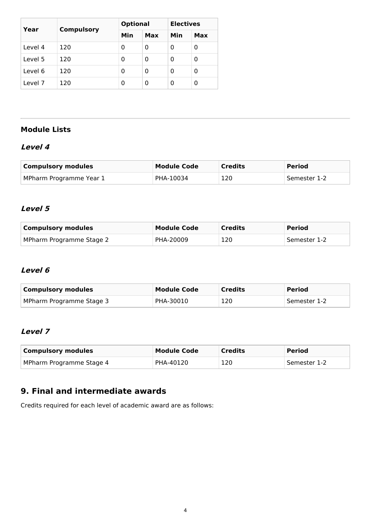| Year    | <b>Compulsory</b> | <b>Optional</b> |     | <b>Electives</b> |     |
|---------|-------------------|-----------------|-----|------------------|-----|
|         |                   | Min             | Max | Min              | Max |
| Level 4 | 120               | 0               | 0   | 0                | 0   |
| Level 5 | 120               | 0               | 0   | 0                | 0   |
| Level 6 | 120               | 0               | 0   | 0                | 0   |
| Level 7 | 120               | 0               | 0   | 0                | 0   |

# **Module Lists**

## **Level 4**

| <b>Compulsory modules</b> | Module Code | <b>Credits</b> | <b>Period</b> |
|---------------------------|-------------|----------------|---------------|
| MPharm Programme Year 1   | PHA-10034   | 120            | Semester 1-2  |

### **Level 5**

| <b>Compulsory modules</b> | <b>Module Code</b> | <b>Credits</b> | <b>Period</b>  |
|---------------------------|--------------------|----------------|----------------|
| MPharm Programme Stage 2  | PHA-20009          | 120            | . Semester 1-2 |

### **Level 6**

| <b>Compulsory modules</b> | Module Code | <b>Credits</b> | <b>Period</b> |
|---------------------------|-------------|----------------|---------------|
| MPharm Programme Stage 3  | PHA-30010   | 120            | Semester 1-2  |

## **Level 7**

| <b>Compulsory modules</b> | <b>Module Code</b> | <b>Credits</b> | <b>Period</b> |
|---------------------------|--------------------|----------------|---------------|
| MPharm Programme Stage 4  | PHA-40120          | 120            | Semester 1-2  |

# **9. Final and intermediate awards**

Credits required for each level of academic award are as follows: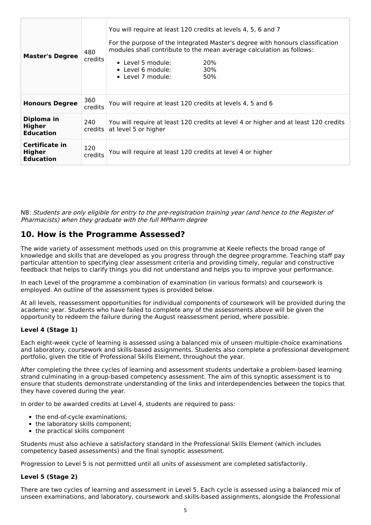| <b>Master's Degree</b>                              | 480<br>credits            | You will require at least 120 credits at levels 4, 5, 6 and 7<br>For the purpose of the Integrated Master's degree with honours classification<br>modules shall contribute to the mean average calculation as follows:<br>$\bullet$ Level 5 module:<br>20%<br>• Level 6 module:<br>30%<br>• Level 7 module:<br>50% |  |
|-----------------------------------------------------|---------------------------|--------------------------------------------------------------------------------------------------------------------------------------------------------------------------------------------------------------------------------------------------------------------------------------------------------------------|--|
| <b>Honours Degree</b>                               | 360<br>credits            | You will require at least 120 credits at levels 4, 5 and 6                                                                                                                                                                                                                                                         |  |
| Diploma in<br><b>Higher</b><br><b>Education</b>     | 240<br>$c$ redits $\vert$ | You will require at least 120 credits at level 4 or higher and at least 120 credits<br>at level 5 or higher                                                                                                                                                                                                        |  |
| Certificate in<br><b>Higher</b><br><b>Education</b> | 120<br>credits            | You will require at least 120 credits at level 4 or higher                                                                                                                                                                                                                                                         |  |

NB: Students are only eligible for entry to the pre-registration training year (and hence to the Register of Pharmacists) when they graduate with the full MPharm degree

## **10. How is the Programme Assessed?**

The wide variety of assessment methods used on this programme at Keele reflects the broad range of knowledge and skills that are developed as you progress through the degree programme. Teaching staff pay particular attention to specifying clear assessment criteria and providing timely, regular and constructive feedback that helps to clarify things you did not understand and helps you to improve your performance.

In each Level of the programme a combination of examination (in various formats) and coursework is employed. An outline of the assessment types is provided below.

At all levels, reassessment opportunities for individual components of coursework will be provided during the academic year. Students who have failed to complete any of the assessments above will be given the opportunity to redeem the failure during the August reassessment period, where possible.

### **Level 4 (Stage 1)**

Each eight-week cycle of learning is assessed using a balanced mix of unseen multiple-choice examinations and laboratory, coursework and skills-based assignments. Students also complete a professional development portfolio, given the title of Professional Skills Element, throughout the year.

After completing the three cycles of learning and assessment students undertake a problem-based learning strand culminating in a group-based competency assessment. The aim of this synoptic assessment is to ensure that students demonstrate understanding of the links and interdependencies between the topics that they have covered during the year.

In order to be awarded credits at Level 4, students are required to pass:

- the end-of-cycle examinations;
- the laboratory skills component;
- the practical skills component

Students must also achieve a satisfactory standard in the Professional Skills Element (which includes competency based assessments) and the final synoptic assessment.

Progression to Level 5 is not permitted until all units of assessment are completed satisfactorily.

### **Level 5 (Stage 2)**

There are two cycles of learning and assessment in Level 5. Each cycle is assessed using a balanced mix of unseen examinations, and laboratory, coursework and skills-based assignments, alongside the Professional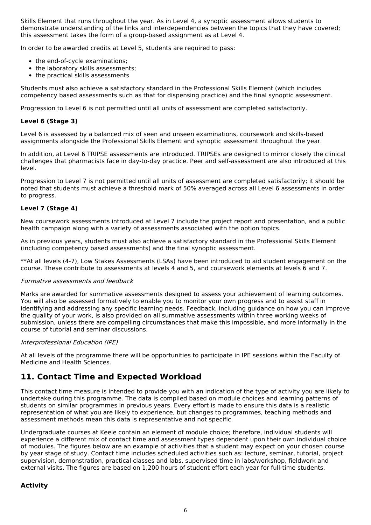Skills Element that runs throughout the year. As in Level 4, a synoptic assessment allows students to demonstrate understanding of the links and interdependencies between the topics that they have covered; this assessment takes the form of a group-based assignment as at Level 4.

In order to be awarded credits at Level 5, students are required to pass:

- the end-of-cycle examinations:
- the laboratory skills assessments;
- the practical skills assessments

Students must also achieve a satisfactory standard in the Professional Skills Element (which includes competency based assessments such as that for dispensing practice) and the final synoptic assessment.

Progression to Level 6 is not permitted until all units of assessment are completed satisfactorily.

### **Level 6 (Stage 3)**

Level 6 is assessed by a balanced mix of seen and unseen examinations, coursework and skills-based assignments alongside the Professional Skills Element and synoptic assessment throughout the year.

In addition, at Level 6 TRIPSE assessments are introduced. TRIPSEs are designed to mirror closely the clinical challenges that pharmacists face in day-to-day practice. Peer and self-assessment are also introduced at this level.

Progression to Level 7 is not permitted until all units of assessment are completed satisfactorily; it should be noted that students must achieve a threshold mark of 50% averaged across all Level 6 assessments in order to progress.

#### **Level 7 (Stage 4)**

New coursework assessments introduced at Level 7 include the project report and presentation, and a public health campaign along with a variety of assessments associated with the option topics.

As in previous years, students must also achieve a satisfactory standard in the Professional Skills Element (including competency based assessments) and the final synoptic assessment.

\*\*At all levels (4-7), Low Stakes Assessments (LSAs) have been introduced to aid student engagement on the course. These contribute to assessments at levels 4 and 5, and coursework elements at levels 6 and 7.

#### Formative assessments and feedback

Marks are awarded for summative assessments designed to assess your achievement of learning outcomes. You will also be assessed formatively to enable you to monitor your own progress and to assist staff in identifying and addressing any specific learning needs. Feedback, including guidance on how you can improve the quality of your work, is also provided on all summative assessments within three working weeks of submission, unless there are compelling circumstances that make this impossible, and more informally in the course of tutorial and seminar discussions.

#### Interprofessional Education (IPE)

At all levels of the programme there will be opportunities to participate in IPE sessions within the Faculty of Medicine and Health Sciences.

## **11. Contact Time and Expected Workload**

This contact time measure is intended to provide you with an indication of the type of activity you are likely to undertake during this programme. The data is compiled based on module choices and learning patterns of students on similar programmes in previous years. Every effort is made to ensure this data is a realistic representation of what you are likely to experience, but changes to programmes, teaching methods and assessment methods mean this data is representative and not specific.

Undergraduate courses at Keele contain an element of module choice; therefore, individual students will experience a different mix of contact time and assessment types dependent upon their own individual choice of modules. The figures below are an example of activities that a student may expect on your chosen course by year stage of study. Contact time includes scheduled activities such as: lecture, seminar, tutorial, project supervision, demonstration, practical classes and labs, supervised time in labs/workshop, fieldwork and external visits. The figures are based on 1,200 hours of student effort each year for full-time students.

### **Activity**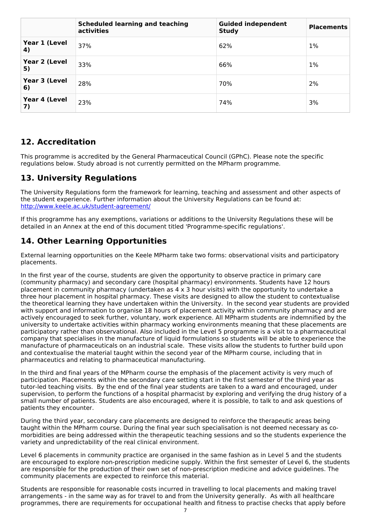|                     | <b>Scheduled learning and teaching</b><br>activities | <b>Guided independent</b><br><b>Study</b> | <b>Placements</b> |
|---------------------|------------------------------------------------------|-------------------------------------------|-------------------|
| Year 1 (Level<br>4) | 37%                                                  | 62%                                       | 1%                |
| Year 2 (Level<br>5) | 33%                                                  | 66%                                       | 1%                |
| Year 3 (Level<br>6) | 28%                                                  | 70%                                       | 2%                |
| Year 4 (Level<br>7) | 23%                                                  | 74%                                       | 3%                |

## **12. Accreditation**

This programme is accredited by the General Pharmaceutical Council (GPhC). Please note the specific regulations below. Study abroad is not currently permitted on the MPharm programme.

# **13. University Regulations**

The University Regulations form the framework for learning, teaching and assessment and other aspects of the student experience. Further information about the University Regulations can be found at: <http://www.keele.ac.uk/student-agreement/>

If this programme has any exemptions, variations or additions to the University Regulations these will be detailed in an Annex at the end of this document titled 'Programme-specific regulations'.

# **14. Other Learning Opportunities**

External learning opportunities on the Keele MPharm take two forms: observational visits and participatory placements.

In the first year of the course, students are given the opportunity to observe practice in primary care (community pharmacy) and secondary care (hospital pharmacy) environments. Students have 12 hours placement in community pharmacy (undertaken as 4 x 3 hour visits) with the opportunity to undertake a three hour placement in hospital pharmacy. These visits are designed to allow the student to contextualise the theoretical learning they have undertaken within the University. In the second year students are provided with support and information to organise 18 hours of placement activity within community pharmacy and are actively encouraged to seek further, voluntary, work experience. All MPharm students are indemnified by the university to undertake activities within pharmacy working environments meaning that these placements are participatory rather than observational. Also included in the Level 5 programme is a visit to a pharmaceutical company that specialises in the manufacture of liquid formulations so students will be able to experience the manufacture of pharmaceuticals on an industrial scale. These visits allow the students to further build upon and contextualise the material taught within the second year of the MPharm course, including that in pharmaceutics and relating to pharmaceutical manufacturing.

In the third and final years of the MPharm course the emphasis of the placement activity is very much of participation. Placements within the secondary care setting start in the first semester of the third year as tutor-led teaching visits. By the end of the final year students are taken to a ward and encouraged, under supervision, to perform the functions of a hospital pharmacist by exploring and verifying the drug history of a small number of patients. Students are also encouraged, where it is possible, to talk to and ask questions of patients they encounter.

During the third year, secondary care placements are designed to reinforce the therapeutic areas being taught within the MPharm course. During the final year such specialisation is not deemed necessary as co morbidities are being addressed within the therapeutic teaching sessions and so the students experience the variety and unpredictability of the real clinical environment.

Level 6 placements in community practice are organised in the same fashion as in Level 5 and the students are encouraged to explore non-prescription medicine supply. Within the first semester of Level 6, the students are responsible for the production of their own set of non-prescription medicine and advice guidelines. The community placements are expected to reinforce this material.

Students are responsible for reasonable costs incurred in travelling to local placements and making travel arrangements - in the same way as for travel to and from the University generally. As with all healthcare programmes, there are requirements for occupational health and fitness to practise checks that apply before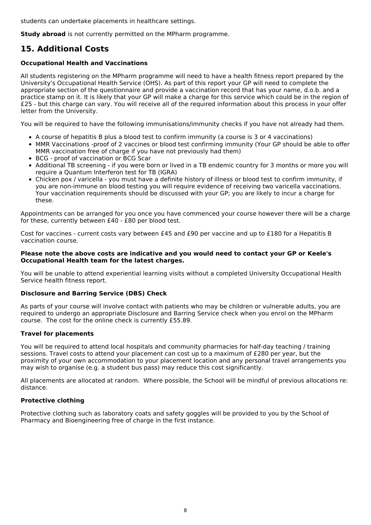students can undertake placements in healthcare settings.

**Study abroad** is not currently permitted on the MPharm programme.

# **15. Additional Costs**

### **Occupational Health and Vaccinations**

All students registering on the MPharm programme will need to have a health fitness report prepared by the University's Occupational Health Service (OHS). As part of this report your GP will need to complete the appropriate section of the questionnaire and provide a vaccination record that has your name, d.o.b. and a practice stamp on it. It is likely that your GP will make a charge for this service which could be in the region of £25 - but this charge can vary. You will receive all of the required information about this process in your offer letter from the University.

You will be required to have the following immunisations/immunity checks if you have not already had them.

- A course of hepatitis B plus a blood test to confirm immunity (a course is 3 or 4 vaccinations)
- MMR Vaccinations -proof of 2 vaccines or blood test confirming immunity (Your GP should be able to offer MMR vaccination free of charge if you have not previously had them)
- BCG proof of vaccination or BCG Scar
- Additional TB screening if you were born or lived in a TB endemic country for 3 months or more you will require a Quantum Interferon test for TB (IGRA)
- Chicken pox / varicella you must have a definite history of illness or blood test to confirm immunity, if you are non-immune on blood testing you will require evidence of receiving two varicella vaccinations. Your vaccination requirements should be discussed with your GP; you are likely to incur a charge for these.

Appointments can be arranged for you once you have commenced your course however there will be a charge for these, currently between £40 - £80 per blood test.

Cost for vaccines - current costs vary between £45 and £90 per vaccine and up to £180 for a Hepatitis B vaccination course.

#### **Please note the above costs are indicative and you would need to contact your GP or Keele's Occupational Health team for the latest charges.**

You will be unable to attend experiential learning visits without a completed University Occupational Health Service health fitness report.

### **Disclosure and Barring Service (DBS) Check**

As parts of your course will involve contact with patients who may be children or vulnerable adults, you are required to undergo an appropriate Disclosure and Barring Service check when you enrol on the MPharm course. The cost for the online check is currently £55.89.

### **Travel for placements**

You will be required to attend local hospitals and community pharmacies for half-day teaching / training sessions. Travel costs to attend your placement can cost up to a maximum of £280 per year, but the proximity of your own accommodation to your placement location and any personal travel arrangements you may wish to organise (e.g. a student bus pass) may reduce this cost significantly.

All placements are allocated at random. Where possible, the School will be mindful of previous allocations re: distance.

### **Protective clothing**

Protective clothing such as laboratory coats and safety goggles will be provided to you by the School of Pharmacy and Bioengineering free of charge in the first instance.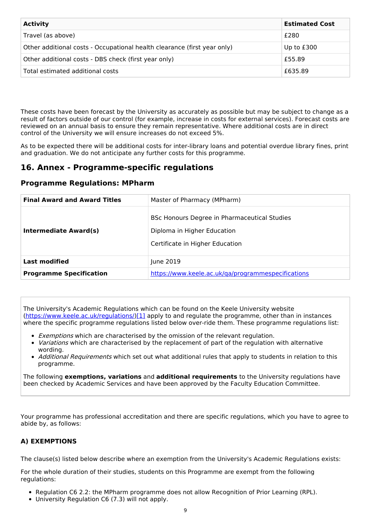| <b>Activity</b>                                                          | <b>Estimated Cost</b> |
|--------------------------------------------------------------------------|-----------------------|
| Travel (as above)                                                        | £280                  |
| Other additional costs - Occupational health clearance (first year only) | Up to £300            |
| Other additional costs - DBS check (first year only)                     | £55.89                |
| Total estimated additional costs                                         | £635.89               |

These costs have been forecast by the University as accurately as possible but may be subject to change as a result of factors outside of our control (for example, increase in costs for external services). Forecast costs are reviewed on an annual basis to ensure they remain representative. Where additional costs are in direct control of the University we will ensure increases do not exceed 5%.

As to be expected there will be additional costs for inter-library loans and potential overdue library fines, print and graduation. We do not anticipate any further costs for this programme.

## **16. Annex - Programme-specific regulations**

### **Programme Regulations: MPharm**

| <b>Final Award and Award Titles</b> | Master of Pharmacy (MPharm)                                                                                    |  |
|-------------------------------------|----------------------------------------------------------------------------------------------------------------|--|
| Intermediate Award(s)               | BSc Honours Degree in Pharmaceutical Studies<br>Diploma in Higher Education<br>Certificate in Higher Education |  |
| <b>Last modified</b>                | June 2019                                                                                                      |  |
| <b>Programme Specification</b>      | https://www.keele.ac.uk/ga/programmespecifications                                                             |  |

The University's Academic Regulations which can be found on the Keele University website [\(https://www.keele.ac.uk/regulations/](https://www.keele.ac.uk/regulations/)[\)\[1\]](https://scims-api.keele.ac.uk/#_ftn1) apply to and regulate the programme, other than in instances where the specific programme regulations listed below over-ride them. These programme regulations list:

- **Exemptions which are characterised by the omission of the relevant regulation.**
- Variations which are characterised by the replacement of part of the regulation with alternative wording.
- Additional Requirements which set out what additional rules that apply to students in relation to this programme.

The following **exemptions, variations** and **additional requirements** to the University regulations have been checked by Academic Services and have been approved by the Faculty Education Committee.

Your programme has professional accreditation and there are specific regulations, which you have to agree to abide by, as follows:

### **A) EXEMPTIONS**

The clause(s) listed below describe where an exemption from the University's Academic Regulations exists:

For the whole duration of their studies, students on this Programme are exempt from the following regulations:

- Regulation C6 2.2: the MPharm programme does not allow Recognition of Prior Learning (RPL).
- University Regulation C6 (7.3) will not apply.